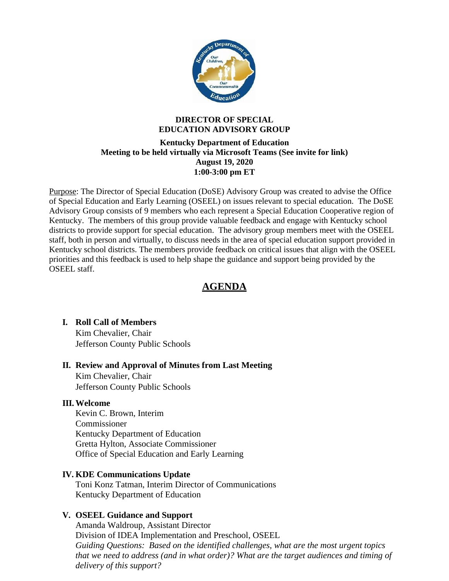

#### **DIRECTOR OF SPECIAL EDUCATION ADVISORY GROUP**

#### **Kentucky Department of Education Meeting to be held virtually via Microsoft Teams (See invite for link) August 19, 2020 1:00-3:00 pm ET**

Purpose: The Director of Special Education (DoSE) Advisory Group was created to advise the Office of Special Education and Early Learning (OSEEL) on issues relevant to special education. The DoSE Advisory Group consists of 9 members who each represent a Special Education Cooperative region of Kentucky. The members of this group provide valuable feedback and engage with Kentucky school districts to provide support for special education. The advisory group members meet with the OSEEL staff, both in person and virtually, to discuss needs in the area of special education support provided in Kentucky school districts. The members provide feedback on critical issues that align with the OSEEL priorities and this feedback is used to help shape the guidance and support being provided by the OSEEL staff.

# **AGENDA**

# **I. Roll Call of Members**

Kim Chevalier, Chair Jefferson County Public Schools

# **II. Review and Approval of Minutes from Last Meeting**

Kim Chevalier, Chair Jefferson County Public Schools

# **III.Welcome**

Kevin C. Brown, Interim Commissioner Kentucky Department of Education Gretta Hylton, Associate Commissioner Office of Special Education and Early Learning

#### **IV. KDE Communications Update**

Toni Konz Tatman, Interim Director of Communications Kentucky Department of Education

# **V. OSEEL Guidance and Support**

Amanda Waldroup, Assistant Director Division of IDEA Implementation and Preschool, OSEEL *Guiding Questions: Based on the identified challenges, what are the most urgent topics that we need to address (and in what order)? What are the target audiences and timing of delivery of this support?*